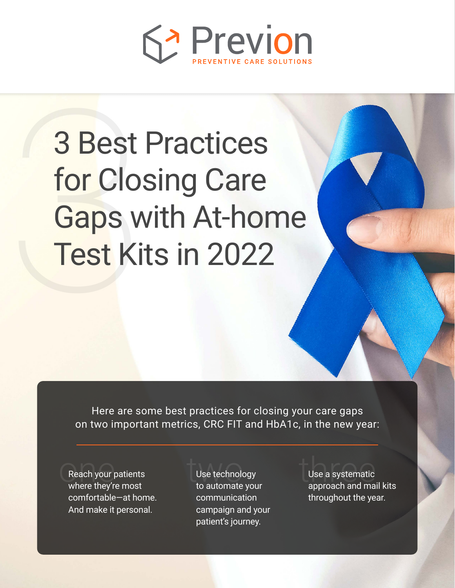

# 3 Best<br>for Clo:<br>Gaps w<br>Test Ki 3 Best Practices for Closing Care Gaps with At-home Test Kits in 2022

Here are some best practices for closing your care gaps on two important metrics, CRC FIT and HbA1c, in the new year:

Reach your patients<br>where they're most edding the technology<br>Reach your patients two technology three they're most<br>The most to automate your the approach and ma comfortable—at home. And make it personal.

Use technology to automate your communication campaign and your patient's journey.

Use a systematic approach and mail kits throughout the year.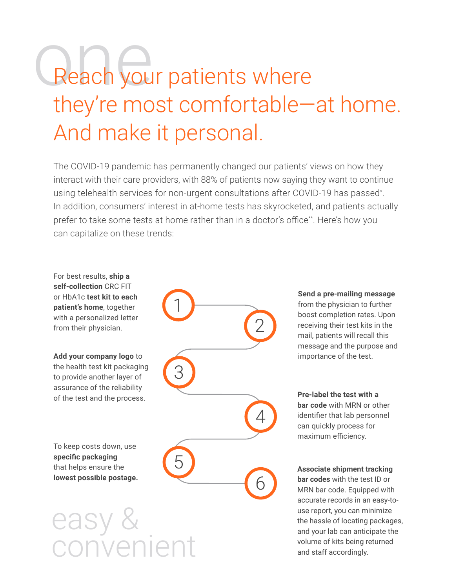### Reach your patients where they're most comfortable—at home. And make it personal.

The COVID-19 pandemic has permanently changed our patients' views on how they interact with their care providers, with 88% of patients now saying they want to continue using telehealth services for non-urgent consultations after COVID-19 has passed\* . In addition, consumers' interest in at-home tests has skyrocketed, and patients actually prefer to take some tests at home rather than in a doctor's office\*\*. Here's how you can capitalize on these trends:

For best results, **ship a self-collection** CRC FIT or HbA1c **test kit to each patient's home**, together with a personalized letter from their physician.

**Add your company logo** to the health test kit packaging to provide another layer of assurance of the reliability of the test and the process.

To keep costs down, use **specific packaging**  that helps ensure the **lowest possible postage.**

easy & onvenien

**Send a pre-mailing message**  from the physician to further boost completion rates. Upon receiving their test kits in the mail, patients will recall this message and the purpose and importance of the test.

**Pre-label the test with a bar code** with MRN or other identifier that lab personnel can quickly process for maximum efficiency.

**Associate shipment tracking bar codes** with the test ID or MRN bar code. Equipped with accurate records in an easy-touse report, you can minimize the hassle of locating packages, and your lab can anticipate the volume of kits being returned and staff accordingly.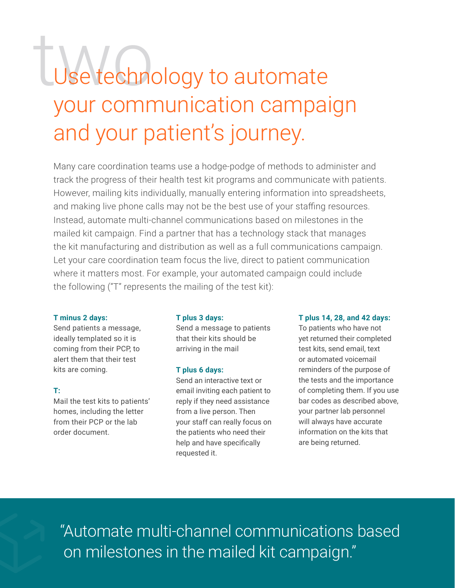## Use technology to automate your communication campaign and your patient's journey.

Many care coordination teams use a hodge-podge of methods to administer and track the progress of their health test kit programs and communicate with patients. However, mailing kits individually, manually entering information into spreadsheets, and making live phone calls may not be the best use of your staffing resources. Instead, automate multi-channel communications based on milestones in the mailed kit campaign. Find a partner that has a technology stack that manages the kit manufacturing and distribution as well as a full communications campaign. Let your care coordination team focus the live, direct to patient communication where it matters most. For example, your automated campaign could include the following ("T" represents the mailing of the test kit):

#### **T minus 2 days:**

Send patients a message, ideally templated so it is coming from their PCP, to alert them that their test kits are coming.

#### **T:**

Mail the test kits to patients' homes, including the letter from their PCP or the lab order document.

#### **T plus 3 days:**

Send a message to patients that their kits should be arriving in the mail

#### **T plus 6 days:**

Send an interactive text or email inviting each patient to reply if they need assistance from a live person. Then your staff can really focus on the patients who need their help and have specifically requested it.

#### **T plus 14, 28, and 42 days:**

To patients who have not yet returned their completed test kits, send email, text or automated voicemail reminders of the purpose of the tests and the importance of completing them. If you use bar codes as described above, your partner lab personnel will always have accurate information on the kits that are being returned.

"Automate multi-channel communications based on milestones in the mailed kit campaign."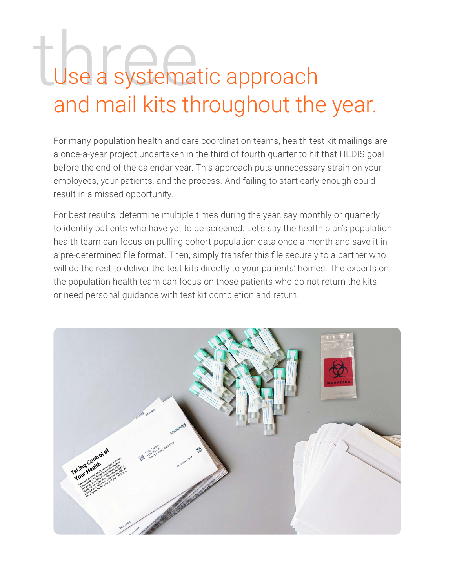## the Use a systematic approach and mail kits throughout the year.

For many population health and care coordination teams, health test kit mailings are a once-a-year project undertaken in the third of fourth quarter to hit that HEDIS goal before the end of the calendar year. This approach puts unnecessary strain on your employees, your patients, and the process. And failing to start early enough could result in a missed opportunity.

For best results, determine multiple times during the year, say monthly or quarterly, to identify patients who have yet to be screened. Let's say the health plan's population health team can focus on pulling cohort population data once a month and save it in a pre-determined file format. Then, simply transfer this file securely to a partner who will do the rest to deliver the test kits directly to your patients' homes. The experts on the population health team can focus on those patients who do not return the kits or need personal guidance with test kit completion and return.